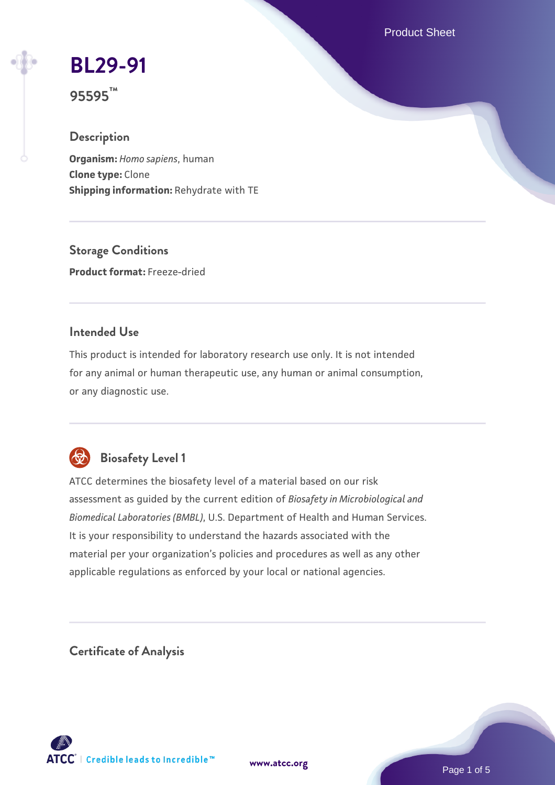Product Sheet

# **[BL29-91](https://www.atcc.org/products/95595)**

**95595™**

# **Description**

**Organism:** *Homo sapiens*, human **Clone type:** Clone **Shipping information:** Rehydrate with TE

**Storage Conditions Product format:** Freeze-dried

# **Intended Use**

This product is intended for laboratory research use only. It is not intended for any animal or human therapeutic use, any human or animal consumption, or any diagnostic use.



# **Biosafety Level 1**

ATCC determines the biosafety level of a material based on our risk assessment as guided by the current edition of *Biosafety in Microbiological and Biomedical Laboratories (BMBL)*, U.S. Department of Health and Human Services. It is your responsibility to understand the hazards associated with the material per your organization's policies and procedures as well as any other applicable regulations as enforced by your local or national agencies.

**Certificate of Analysis**

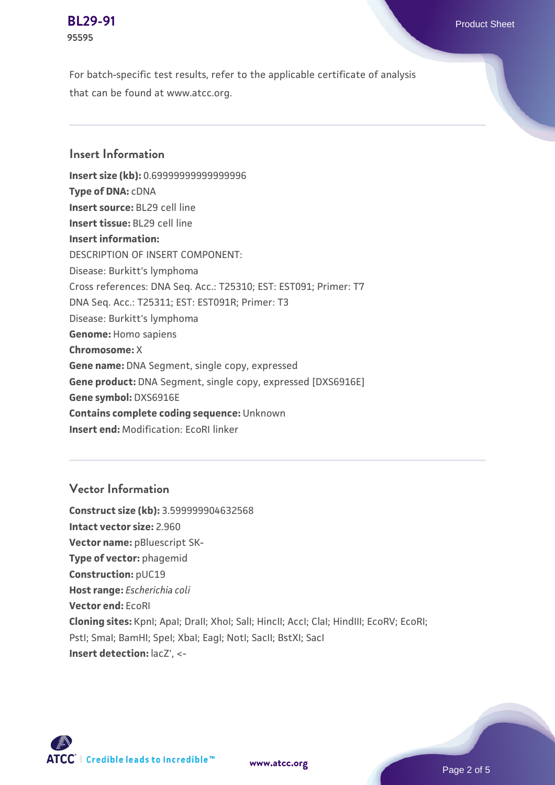#### **[BL29-91](https://www.atcc.org/products/95595)** Product Sheet **95595**

For batch-specific test results, refer to the applicable certificate of analysis that can be found at www.atcc.org.

### **Insert Information**

**Insert size (kb):** 0.69999999999999996 **Type of DNA:** cDNA **Insert source:** BL29 cell line **Insert tissue:** BL29 cell line **Insert information:** DESCRIPTION OF INSERT COMPONENT: Disease: Burkitt's lymphoma Cross references: DNA Seq. Acc.: T25310; EST: EST091; Primer: T7 DNA Seq. Acc.: T25311; EST: EST091R; Primer: T3 Disease: Burkitt's lymphoma **Genome:** Homo sapiens **Chromosome:** X **Gene name:** DNA Segment, single copy, expressed **Gene product:** DNA Segment, single copy, expressed [DXS6916E] **Gene symbol:** DXS6916E **Contains complete coding sequence:** Unknown **Insert end:** Modification: EcoRI linker

# **Vector Information**

**Construct size (kb):** 3.599999904632568 **Intact vector size:** 2.960 **Vector name:** pBluescript SK-**Type of vector:** phagemid **Construction:** pUC19 **Host range:** *Escherichia coli* **Vector end:** EcoRI **Cloning sites:** KpnI; ApaI; DraII; XhoI; SalI; HincII; AccI; ClaI; HindIII; EcoRV; EcoRI; Pstl; Smal; BamHI; Spel; Xbal; EagI; NotI; SacII; BstXI; SacI **Insert detection:** lacZ', <-

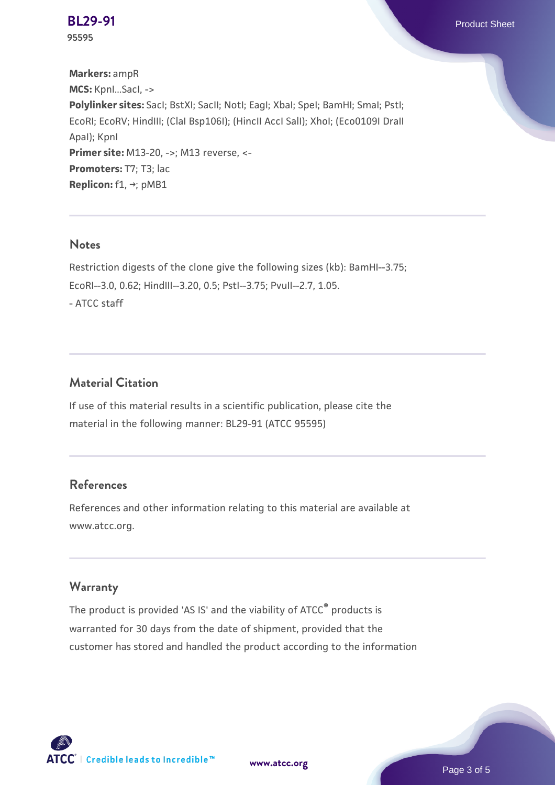**[BL29-91](https://www.atcc.org/products/95595)** Product Sheet

**95595**

**Markers:** ampR **MCS:** KpnI...SacI, -> **Polylinker sites:** SacI; BstXI; SacII; NotI; EagI; XbaI; SpeI; BamHI; SmaI; PstI; EcoRI; EcoRV; HindIII; (ClaI Bsp106I); (HincII AccI SalI); XhoI; (Eco0109I DraII ApaI); KpnI **Primer site:** M13-20, ->; M13 reverse, <-**Promoters:** T7; T3; lac **Replicon:** f1, →; pMB1

#### **Notes**

Restriction digests of the clone give the following sizes (kb): BamHI--3.75; EcoRI--3.0, 0.62; HindIII--3.20, 0.5; PstI--3.75; PvuII--2.7, 1.05. - ATCC staff

### **Material Citation**

If use of this material results in a scientific publication, please cite the material in the following manner: BL29-91 (ATCC 95595)

### **References**

References and other information relating to this material are available at www.atcc.org.

#### **Warranty**

The product is provided 'AS IS' and the viability of ATCC® products is warranted for 30 days from the date of shipment, provided that the customer has stored and handled the product according to the information



**[www.atcc.org](http://www.atcc.org)**

Page 3 of 5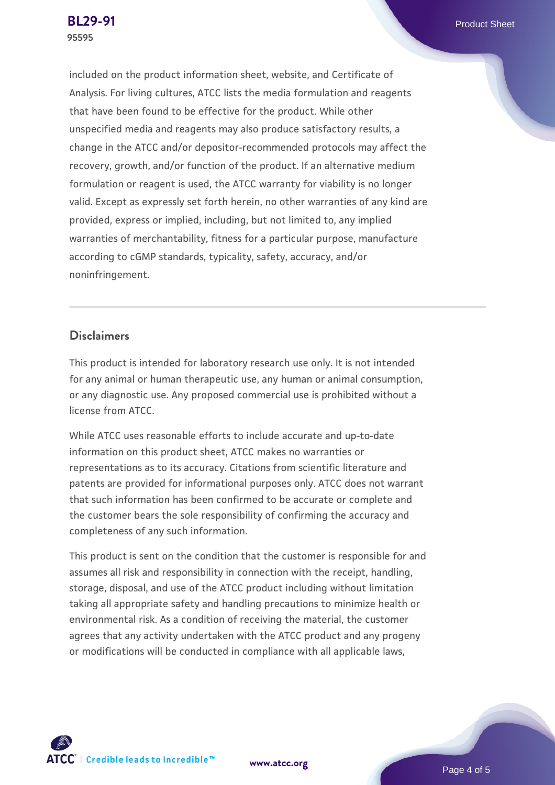included on the product information sheet, website, and Certificate of Analysis. For living cultures, ATCC lists the media formulation and reagents that have been found to be effective for the product. While other unspecified media and reagents may also produce satisfactory results, a change in the ATCC and/or depositor-recommended protocols may affect the recovery, growth, and/or function of the product. If an alternative medium formulation or reagent is used, the ATCC warranty for viability is no longer valid. Except as expressly set forth herein, no other warranties of any kind are provided, express or implied, including, but not limited to, any implied warranties of merchantability, fitness for a particular purpose, manufacture according to cGMP standards, typicality, safety, accuracy, and/or noninfringement.

#### **Disclaimers**

This product is intended for laboratory research use only. It is not intended for any animal or human therapeutic use, any human or animal consumption, or any diagnostic use. Any proposed commercial use is prohibited without a license from ATCC.

While ATCC uses reasonable efforts to include accurate and up-to-date information on this product sheet, ATCC makes no warranties or representations as to its accuracy. Citations from scientific literature and patents are provided for informational purposes only. ATCC does not warrant that such information has been confirmed to be accurate or complete and the customer bears the sole responsibility of confirming the accuracy and completeness of any such information.

This product is sent on the condition that the customer is responsible for and assumes all risk and responsibility in connection with the receipt, handling, storage, disposal, and use of the ATCC product including without limitation taking all appropriate safety and handling precautions to minimize health or environmental risk. As a condition of receiving the material, the customer agrees that any activity undertaken with the ATCC product and any progeny or modifications will be conducted in compliance with all applicable laws,



**[www.atcc.org](http://www.atcc.org)**

Page 4 of 5